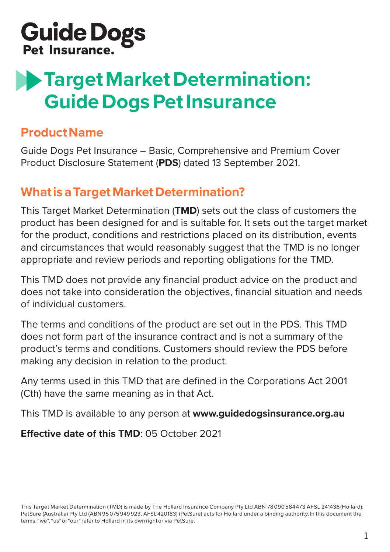

# **Target Market Determination: Guide Dogs Pet Insurance**

#### **Product Name**

Guide Dogs Pet Insurance – Basic, Comprehensive and Premium Cover Product Disclosure Statement (**PDS**) dated 13 September 2021.

#### **What is a Target Market Determination?**

This Target Market Determination (**TMD**) sets out the class of customers the product has been designed for and is suitable for. It sets out the target market for the product, conditions and restrictions placed on its distribution, events and circumstances that would reasonably suggest that the TMD is no longer appropriate and review periods and reporting obligations for the TMD.

This TMD does not provide any financial product advice on the product and does not take into consideration the objectives, financial situation and needs of individual customers.

The terms and conditions of the product are set out in the PDS. This TMD does not form part of the insurance contract and is not a summary of the product's terms and conditions. Customers should review the PDS before making any decision in relation to the product.

Any terms used in this TMD that are defined in the Corporations Act 2001 (Cth) have the same meaning as in that Act.

This TMD is available to any person at **www.guidedogsinsurance.org.au**

**Effective date of this TMD**: 05 October 2021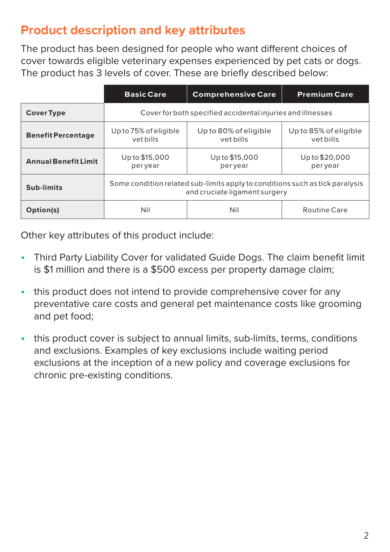## **Product description and key attributes**

The product has been designed for people who want different choices of cover towards eligible veterinary expenses experienced by pet cats or dogs. The product has 3 levels of cover. These are briefly described below:

|                             | <b>Basic Care</b>                                                                                             | <b>Comprehensive Care</b>          | <b>Premium Care</b>               |
|-----------------------------|---------------------------------------------------------------------------------------------------------------|------------------------------------|-----------------------------------|
| <b>Cover Type</b>           | Cover for both specified accidental injuries and illnesses                                                    |                                    |                                   |
| <b>Benefit Percentage</b>   | Up to 75% of eligible<br>vet bills                                                                            | Up to 80% of eligible<br>vet bills | Up to 85% of eligible<br>vetbills |
| <b>Annual Benefit Limit</b> | Up to \$15,000<br>peryear                                                                                     | Up to \$15,000<br>per year         | Up to \$20,000<br>per year        |
| Sub-limits                  | Some condition related sub-limits apply to conditions such as tick paralysis<br>and cruciate ligament surgery |                                    |                                   |
| Option(s)                   | Nil                                                                                                           | Nil                                | Routine Care                      |

Other key attributes of this product include:

- Third Party Liability Cover for validated Guide Dogs. The claim benefit limit is \$1 million and there is a \$500 excess per property damage claim;
- this product does not intend to provide comprehensive cover for any preventative care costs and general pet maintenance costs like grooming and pet food;
- this product cover is subiect to annual limits, sub-limits, terms, conditions and exclusions. Examples of key exclusions include waiting period exclusions at the inception of a new policy and coverage exclusions for chronic pre-existing conditions.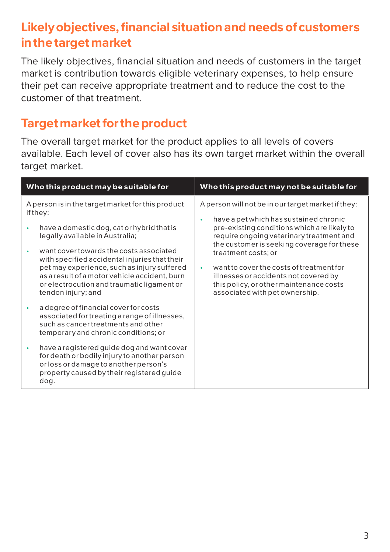## **Likely objectives, financial situation and needs of customers in the target market**

The likely objectives, financial situation and needs of customers in the target market is contribution towards eligible veterinary expenses, to help ensure their pet can receive appropriate treatment and to reduce the cost to the customer of that treatment.

#### **Target market for the product**

The overall target market for the product applies to all levels of covers available. Each level of cover also has its own target market within the overall target market.

| Who this product may be suitable for                                                                                                                                                                                                                                                                                                                                                                           | Who this product may not be suitable for                                                                                                                                                                                                                                                                                                                                                                                                  |  |
|----------------------------------------------------------------------------------------------------------------------------------------------------------------------------------------------------------------------------------------------------------------------------------------------------------------------------------------------------------------------------------------------------------------|-------------------------------------------------------------------------------------------------------------------------------------------------------------------------------------------------------------------------------------------------------------------------------------------------------------------------------------------------------------------------------------------------------------------------------------------|--|
| A person is in the target market for this product<br>if they:<br>have a domestic dog, cat or hybrid that is<br>legally available in Australia;<br>want cover towards the costs associated<br>with specified accidental injuries that their<br>pet may experience, such as injury suffered<br>as a result of a motor vehicle accident, burn<br>or electrocution and traumatic ligament or<br>tendon injury; and | A person will not be in our target market if they:<br>have a pet which has sustained chronic<br>٠<br>pre-existing conditions which are likely to<br>require ongoing veterinary treatment and<br>the customer is seeking coverage for these<br>treatment costs; or<br>want to cover the costs of treatment for<br>×.<br>illnesses or accidents not covered by<br>this policy, or other maintenance costs<br>associated with pet ownership. |  |
| a degree of financial cover for costs<br>associated for treating a range of illnesses,<br>such as cancer treatments and other<br>temporary and chronic conditions; or<br>have a registered guide dog and want cover<br>for death or bodily injury to another person<br>or loss or damage to another person's<br>property caused by their registered quide<br>dog.                                              |                                                                                                                                                                                                                                                                                                                                                                                                                                           |  |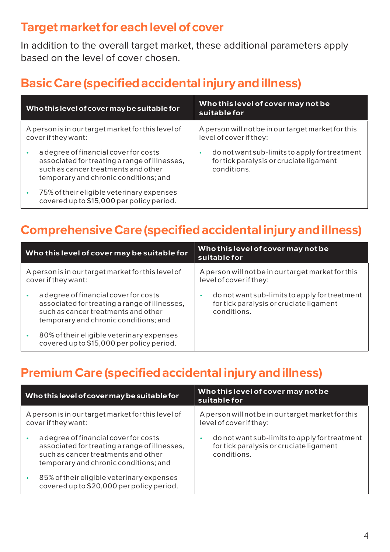#### **Target market for each level of cover**

In addition to the overall target market, these additional parameters apply based on the level of cover chosen.

# **Basic Care (specified accidental injury and illness)**

| Who this level of cover may be suitable for                                                                                                                            | Who this level of cover may not be<br>suitable for                                                      |  |
|------------------------------------------------------------------------------------------------------------------------------------------------------------------------|---------------------------------------------------------------------------------------------------------|--|
| A person is in our target market for this level of<br>cover if they want:                                                                                              | A person will not be in our target market for this<br>level of cover if they:                           |  |
| a degree of financial cover for costs<br>associated for treating a range of illnesses,<br>such as cancer treatments and other<br>temporary and chronic conditions; and | do not want sub-limits to apply for treatment<br>for tick paralysis or cruciate ligament<br>conditions. |  |
| 75% of their eligible veterinary expenses<br>covered up to \$15,000 per policy period.                                                                                 |                                                                                                         |  |

## **Comprehensive Care (specified accidental injury and illness)**

| Who this level of cover may be suitable for                                                                                                                            | Who this level of cover may not be<br>suitable for                                                      |  |
|------------------------------------------------------------------------------------------------------------------------------------------------------------------------|---------------------------------------------------------------------------------------------------------|--|
| A person is in our target market for this level of<br>cover if they want:                                                                                              | A person will not be in our target market for this<br>level of cover if they:                           |  |
| a degree of financial cover for costs<br>associated for treating a range of illnesses,<br>such as cancer treatments and other<br>temporary and chronic conditions; and | do not want sub-limits to apply for treatment<br>for tick paralysis or cruciate ligament<br>conditions. |  |
| 80% of their eligible veterinary expenses<br>covered up to \$15,000 per policy period.                                                                                 |                                                                                                         |  |

## **Premium Care (specified accidental injury and illness)**

| Who this level of cover may be suitable for                               |                                                                                                                                                                        | Who this level of cover may not be<br>suitable for                                                      |  |
|---------------------------------------------------------------------------|------------------------------------------------------------------------------------------------------------------------------------------------------------------------|---------------------------------------------------------------------------------------------------------|--|
| A person is in our target market for this level of<br>cover if they want: |                                                                                                                                                                        | A person will not be in our target market for this<br>level of cover if they:                           |  |
|                                                                           | a degree of financial cover for costs<br>associated for treating a range of illnesses,<br>such as cancer treatments and other<br>temporary and chronic conditions; and | do not want sub-limits to apply for treatment<br>for tick paralysis or cruciate ligament<br>conditions. |  |
| ٠                                                                         | 85% of their eligible veterinary expenses<br>covered up to \$20,000 per policy period.                                                                                 |                                                                                                         |  |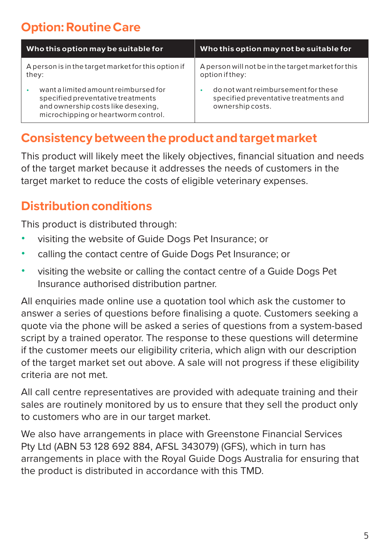# **Option: Routine Care**

| Who this option may be suitable for                                                                                                                    | Who this option may not be suitable for                                                          |  |
|--------------------------------------------------------------------------------------------------------------------------------------------------------|--------------------------------------------------------------------------------------------------|--|
| A person is in the target market for this option if<br>they:                                                                                           | A person will not be in the target market for this<br>option if they:                            |  |
| want a limited amount reimbursed for<br>specified preventative treatments<br>and ownership costs like desexing,<br>microchipping or heartworm control. | do not want reimbursement for these<br>specified preventative treatments and<br>ownership costs. |  |

#### **Consistency between the product and target market**

This product will likely meet the likely objectives, financial situation and needs of the target market because it addresses the needs of customers in the target market to reduce the costs of eligible veterinary expenses.

## **Distribution conditions**

This product is distributed through:

- visiting the website of Guide Dogs Pet Insurance; or
- calling the contact centre of Guide Dogs Pet Insurance; or
- visiting the website or calling the contact centre of a Guide Dogs Pet Insurance authorised distribution partner.

All enquiries made online use a quotation tool which ask the customer to answer a series of questions before finalising a quote. Customers seeking a quote via the phone will be asked a series of questions from a system-based script by a trained operator. The response to these questions will determine if the customer meets our eligibility criteria, which align with our description of the target market set out above. A sale will not progress if these eligibility criteria are not met.

All call centre representatives are provided with adequate training and their sales are routinely monitored by us to ensure that they sell the product only to customers who are in our target market.

We also have arrangements in place with Greenstone Financial Services Pty Ltd (ABN 53 128 692 884, AFSL 343079) (GFS), which in turn has arrangements in place with the Royal Guide Dogs Australia for ensuring that the product is distributed in accordance with this TMD.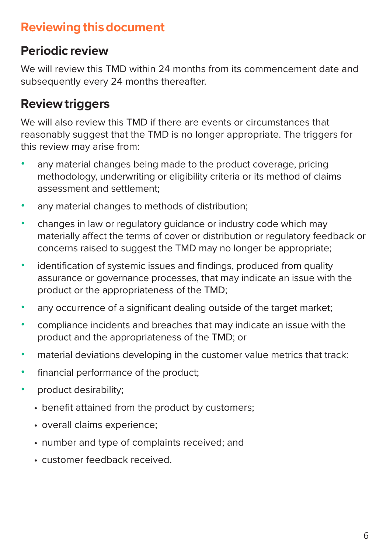### **Reviewing this document**

#### **Periodic review**

We will review this TMD within 24 months from its commencement date and subsequently every 24 months thereafter.

# **Review triggers**

We will also review this TMD if there are events or circumstances that reasonably suggest that the TMD is no longer appropriate. The triggers for this review may arise from:

- any material changes being made to the product coverage, pricing methodology, underwriting or eligibility criteria or its method of claims assessment and settlement;
- any material changes to methods of distribution;
- changes in law or regulatory guidance or industry code which may materially affect the terms of cover or distribution or regulatory feedback or concerns raised to suggest the TMD may no longer be appropriate;
- identification of systemic issues and findings, produced from quality assurance or governance processes, that may indicate an issue with the product or the appropriateness of the TMD;
- any occurrence of a significant dealing outside of the target market:
- compliance incidents and breaches that may indicate an issue with the product and the appropriateness of the TMD; or
- material deviations developing in the customer value metrics that track:
- financial performance of the product;
- product desirability;
	- benefit attained from the product by customers;
	- overall claims experience;
	- number and type of complaints received; and
	- customer feedback received.